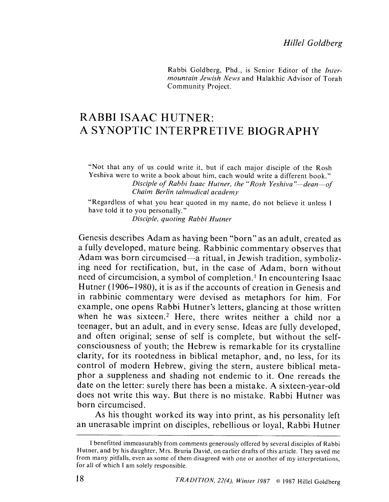Rabbi Goldberg, Phd., is Senior Editor of the Intermountain Jewish News and Halakhic Advisor of Torah Community Project.

# RABBI ISAAC HUTNER: A SYNOPTIC INTERPRETIVE BIOGRAPHY

"Not that any of us could write it, but if each major disciple of the Rosh Yeshiva were to write a book about him, each would write a different book." Disciple of Rabbi Isaac Hutner, the "Rosh Yeshiva"—dean—of Chaim Berlin talmudical academy

"Regardless of what you hear quoted in my name, do not believe it unless I have told it to you personally."

Disciple, quoting Rabbi Hutner

Genesis describes Adam as having been "born" as an adult, created as a fully developed, mature being. Rabbinic commentary observes that Adam was born circumcised-a ritual, in Jewish tradition, symbolizing need for rectification, but, in the case of Adam, born without need of circumcision, a symbol of completion.<sup>1</sup> In encountering Isaac Hutner (1906–1980), it is as if the accounts of creation in Genesis and in rabbinic commentary were devised as metaphors for him. For example, one opens Rabbi Hutner's letters, glancing at those written when he was sixteen.<sup>2</sup> Here, there writes neither a child nor a teenager, but an adult, and in every sense. Ideas arc fully developed, and often original; sense of self is complete, but without the selfconsciousness of youth; the Hebrew is remarkable for its crystalline clarity, for its rootedness in biblical metaphor, and, no less, for its control of modern Hehrew, giving the stern, austere biblical metaphor a suppleness and shading not endemic to it. One rereads the date on the letter: surely there has been a mistake. A sixtecn-year-old does not write this way. But there is no mistake. Rabbi Hutner was born circumcised.

As his thought worked its way into print, as his personality left an unerasablc imprint on disciples, rebellious or loyal, Rabbi Hutner

I benefitted immeasurably from comments generously offered by several disciples of Rabbi Hutner, and by his daughter, Mrs. Bruria David, on earlier drafts of this article. They saved me from many pitfalls, even as some of them disagreed with one or another of my interpretations, for all of which I am solely responsible.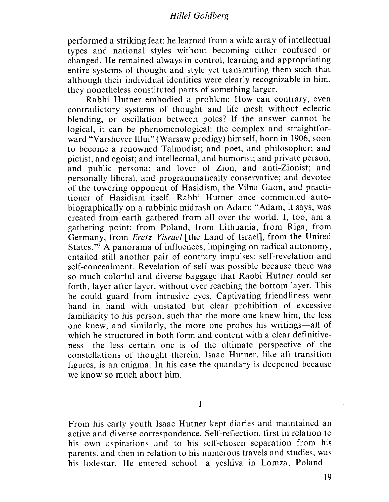## Hilel Goldberg

performed a striking feat: he learned from a wide array of intellectual types and national styles without hecoming either confused or changed. He remained always in control, learning and appropriating entire systems of thought and style yet transmuting them such that although their individual identities were clearly recognizahle in him, they nonetheless constituted parts of something larger.

Rabbi Hutner embodied a problem: How can contrary, even contradictory systems of thought and life mesh without eclectic hlending, or oscillation between poles? If the answer cannot be logical, it can he phenomenological: the complex and straightforward "Varshever Ilui" (Warsaw prodigy) himself, born in 1906, soon to become a renowned Talmudist; and poet, and philosopher; and pietist, and cgoist; and intellectual, and humorist; and private person, and public persona; and lover of Zion, and anti-Zionist; and personally liberal, and programmatically conservative; and devotee of the towering opponent of Hasidism, the Vilna Gaon, and practitioner of Hasidism itself. Rabbi Hutner once commented autobiographically on a rabbinic midrash on Adam: "Adam, it says, was created from earth gathered from all over the world. I, too, am a gathering point: from Poland, from Lithuania, from Riga, from Germany, from *Eretz Yisrael* [the Land of Israel], from the United States. "3 A panorama of influences, impinging on radical autonomy, entailed still another pair of contrary impulses: self-revelation and self-concealment. Revelation of self was possible because there was so much colorful and diverse baggage that Rabbi Hutner could set forth, layer after layer, without ever reaching the bottom layer. This he could guard from intrusive eyes. Captivating friendliness went hand in hand with unstated but clear prohibition of excessive familiarity to his person, such that the more one knew him, the less one knew, and similarly, the more one probes his writings-all of which he structured in both form and content with a clear definitiveness—the less certain one is of the ultimate perspective of the constellations of thought therein. Isaac Hutner, like all transition figures, is an enigma. In his case the quandary is deepened because we know so much about him.

I

From his early youth Isaac Hutner kept diaries and maintained an active and diverse correspondence. Self-reflection, first in relation to his own aspirations and to his self-chosen separation from his parents, and then in relation to his numerous travels and studies, was his lodestar. He entered school-a yeshiva in Lomza, Poland-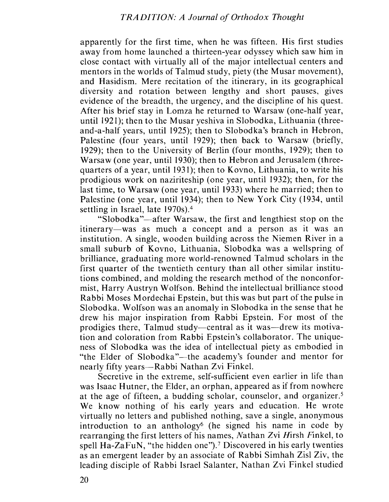apparently for the first time, when he was fifteen. His first studies away from home launched a thirteen-year odyssey which saw him in close contact with virtually all of the major intellectual centers and mentors in the worlds of Talmud study, piety (the Musar movement), and Hasidism. Mere recitation of the itinerary, in its geographical diversity and rotation between lengthy and short pauses, gives evidence of the breadth, the urgency, and the discipline of his quest. After his brief stay in Lomza he returned to Warsaw (one-half year, until 1921); then to the Musar yeshiva in Slobodka, Lithuania (threeand-a-half years, until 1925); then to Siobodka's hranch in Hehron, Palestine (four years, until 1929); then back to Warsaw (briefly, 1929); then to the University of Berlin (four months, 1929); then to Warsaw (one year, until 1930); then to Hebron and Jerusalem (threequarters of a year, until 1931); then to Kovno, Lithuania, to write his prodigious work on naziriteship (one year, until 1932); then, for the last time, to Warsaw (one year, until 1933) where he married; then to Palcstinc (one year, until 1934); then to New York City (1934, until settling in Israel, late 1970s).4

"Slobodka"—after Warsaw, the first and lengthiest stop on the itinerary—was as much a concept and a person as it was an institution. A single, wooden building across the Niemen River in a small suburh of Kovno, Lithuania, Slobodka was a wellspring of brilliance, graduating more world-renowned Talmud scholars in the first quarter of the twentieth century than all other similar institutions combined, and molding the research method of the nonconformist, Harry Austryn Wolfson. Behind the intellectual brilliance stood Rabbi Moses Mordechai Epstein, but this was hut part of the pulse in Siobodka. Wolfson was an anomaly in Siobodka in the sense that he drew his major inspiration from Rabbi Epstein. For most of the prodigies there, Talmud study—central as it was—drew its motivation and coloration from Rabbi Epstein's collaborator. The uniqueness of Siobodka was the idea of intellectual piety as embodied in "the Elder of Slobodka"—the academy's founder and mentor for nearly fifty years—Rabbi Nathan Zvi Finkel.

Secretive in the extreme, self-sufficient even earlier in life than was Isaac Hutner, the Elder, an orphan, appeared as if from nowhere at the age of fifteen, a budding scholar, counsclor, and organizer.5 We know nothing of his early years and education. He wrote virtually no letters and published nothing, save a single, anonymous introduction to an anthology<sup>6</sup> (he signed his name in code by rearranging the first letters of his names, Nathan Zvi Hirsh Finkel, to spell  $Ha-ZaFuN$ , "the hidden one").<sup>7</sup> Discovered in his early twenties as an emergent leader by an associate of Rabbi Simhah Zisl Ziv, the leading disciple of Rabbi Israel Salanter, Nathan Zvi Finkel studied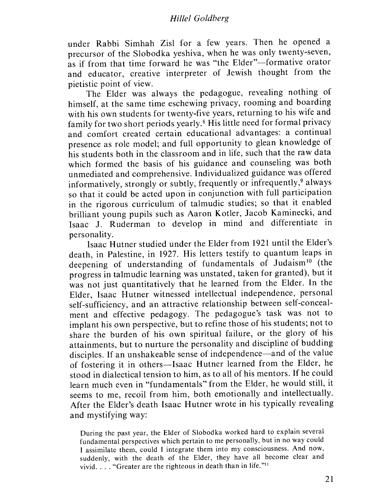## Hilel Goldherg

under Rabbi Simhah Zisl for a few years. Then he opened a precursor of the Siobodka yeshiva, when he was only twenty-seven, as if from that time forward he was "the Elder"-formative orator and educator, creative interpreter of Jewish thought from the pietistic point of view.

The Elder was always the pedagogue, revealing nothing of himself, at the same time cschewing privacy, rooming and boarding with his own students for twenty-five years, returning to his wife and family for two short periods yearly.<sup>8</sup> His little need for formal privacy and comfort created certain educational advantages: a continual presence as role model; and full opportunity to glean knowledge of his students both in the classroom and in life, such that the raw data which formed the basis of his guidance and counseling was both unmediated and comprehensive. Individualized guidance was offered informatively, strongly or subtly, frequently or infrequently,<sup>9</sup> always so that it could be acted upon in conjunction with full participation in the rigorous curriculum of talmudic studies; so that it enabled hrilliant young pupils such as Aaron Kotler, Jacob Kaminecki, and Isaac J. Ruderman to develop in mind and differentiate in personality.

Isaac Hutner studied under the Elder from 1921 until the Elder's death, in Palestine, in 1927. His letters testify to quantum leaps in deepening of understanding of fundamentals of Judaism<sup>10</sup> (the progress in talmudic learning was unstated, taken for granted), but it was not just quantitatively that he learned from the Elder. In the Elder, Isaac Hutner witnessed intellectual independence, personal self-sufficiency, and an attractive relationship between self-concealment and effective pedagogy. The pedagogue's task was not to implant his own perspective, but to refine those of his students; not to share the burden of his own spiritual failure, or the glory of his attainments, hut to nurture the personality and discipline of hudding disciples. If an unshakeable sense of independence—and of the value of fostering it in others-Isaac Hutner learned from the Elder, he stood in dialectical tension to him, as to all of his mentors. If he could learn much even in "fundamentals" from the Elder, he would still, it seems to me, recoil from him, both emotionally and intellectually. After the Elder's death Isaac Hutner wrote in his typically revealing and mystifying way:

During the past year, the Elder of Siobodka worked hard to explain several fundamental perspectives which pertain to me personally, but in no way could I assimilate them, could I integrate them into my consciousness. And now, suddenly, with the death of the Elder, they have all become clear and vivid. . . . "Greater are the righteous in death than in life."<sup>11</sup>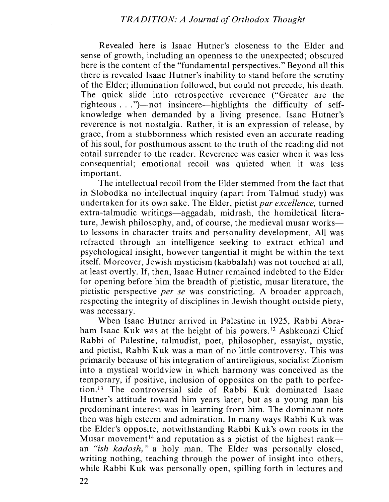Revealed here is Isaac Hutner's closeness to the Elder and sense of growth, including an openness to the unexpected; obscured here is the content of the "fundamental perspectives." Beyond all this there is revealed Isaac Hutner's inability to stand before the scrutiny of the Elder; illumination followed, but could not precede, his death. The quick slide into retrospective reverence ("Greater are the righteous..." $)$ —not insincere—highlights the difficulty of selfknowledge when demanded by a living presence. Isaac Hutner's reverence is not nostalgia. Rather, it is an expression of release, hy grace, from a stubbornness which resisted even an accurate reading of his soul, for posthumous assent to the truth of the reading did not entail surrender to the reader. Reverence was easier when it was less consequential; emotional recoil was quieted when it was less important.

The intellectual recoil from the Elder stemmed from the fact that in Slobodka no intellectual inquiry (apart from Talmud study) was undertaken for its own sake. The Elder, pietist par excellence, turned extra-talmudic writings—aggadah, midrash, the homiletical literature, Jewish philosophy, and, of course, the medieval musar works to lessons in character traits and personality development. All was refracted through an intelligence seeking to extract ethical and psychological insight, however tangential it might be within the text itself. Moreover, Jewish mysticism (kabbalah) was not touched at all, at least overtly. If, then, Isaac Hutner remained indebted to the Elder for opening before him the breadth of pietistic, musar literature, the pietistic perspective *per se* was constricting. A broader approach, respecting the integrity of disciplines in Jewish thought outside piety, was necessary.

When Isaac Hutner arrived in Palestine in 1925, Rabbi Abraham Isaac Kuk was at the height of his powers.<sup>12</sup> Ashkenazi Chief<br>Rabbi of Palestine, talmudist, poet, philosopher, essayist, mystic,<br>and pietist. Rabbi Kuk was a man of no little controversy. This was and pietist, Rabbi Kuk was a man of no little controversy. This was primarily because of his integration of antireligious, socialist Zionism into a mystical worldview in which harmony was conceived as the temporary, if positive, inclusion of opposites on the path to perfection.<sup>13</sup> The controversial side of Rabbi Kuk dominated Isaac Hutner's attitude toward him years later, but as a young man his predominant interest was in learning from him. The dominant note then was high esteem and admiration. In many ways Rabbi Kuk was the Elder's opposite, notwithstanding Rabbi Kuk's own roots in the Musar movement<sup>14</sup> and reputation as a pietist of the highest rankan "ish kadosh," a holy man. The Elder was personally closed, writing nothing, teaching through the power of insight into others, while Rabbi Kuk was personally open, spilling forth in lectures and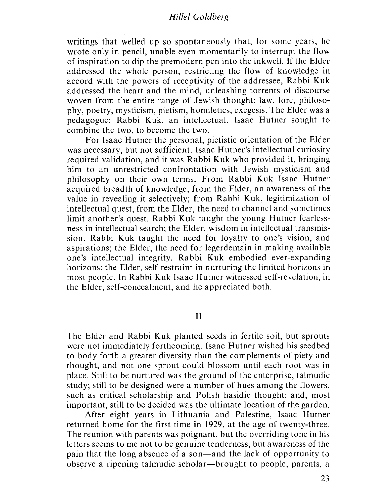#### Hillel Goldberg

writings that welled up so spontaneously that, for some years, he wrote only in pencil, unable even momentarily to interrupt the flow of inspiration to dip the premodern pen into the inkwelL If the Elder addressed the whole person, restricting the flow of knowlcdgc in accord with the powers of receptivity of the addressee, Rabbi Kuk addressed the heart and the mind, unleashing torrents of discourse woven from the entire range of Jewish thought: law, lore, philosophy, poetry, mysticism, pietism, homiletics, exegesis. The Elder was a pedagogue; Rabbi Kuk, an intellectual. Isaac Hutner sought to combine the two, to become the two.

For Isaac Hutner the personal, pietistic orientation of the Elder was necessary, but not sufficient. Isaac Hutner's intellectual curiosity required validation, and it was Rabbi Kuk who provided it, bringing him to an unrestricted confrontation with Jewish mysticism and philosophy on their own terms. From Rabbi Kuk Isaac Hutner acquired breadth of knowledge, from the Elder, an awareness of the value in revealing it selectively; from Rabbi Kuk, legitimization of intellectual quest, from the Elder, the need to channel and sometimes limit another's quest. Rabbi Kuk taught the young Hutner fearlessness in intellectual search; the Elder, wisdom in intellectual transmission. Rabbi Kuk taught the need for loyalty to one's vision, and aspirations; the Elder, the need for legerdemain in making available one's intellectual integrity. Rabbi Kuk embodied ever-expanding horizons; the Elder, self-restraint in nurturing the limited horizons in most people. In Rabbi Kuk Isaac Hutner witnessed self-revelation, in the Elder, self-concealment, and he appreciated hoth.

II

The Elder and Rabbi Kuk planted seeds in fertile soil, but sprouts were not immediately forthcoming. Isaac Hutner wished his seedbed to hody forth a greater diversity than the complements of piety and thought, and not one sprout could blossom until each root was in place. Still to be nurtured was the ground of the enterprise, talmudic study; still to be designed were a number of hues among the flowers, such as critical scholarship and Polish hasidic thought; and, most important, still to be decided was the ultimate location of the garden.

After eight years in Lithuania and Palestine, Isaac Hutner returned home for the first time in 1929, at the age of twenty-three. The reunion with parents was poignant, but the overriding tone in his letters seems to me not to be genuine tenderness, but awareness of the pain that the long absence of a son-and the lack of opportunity to observe a ripening talmudic scholar-brought to people, parents, a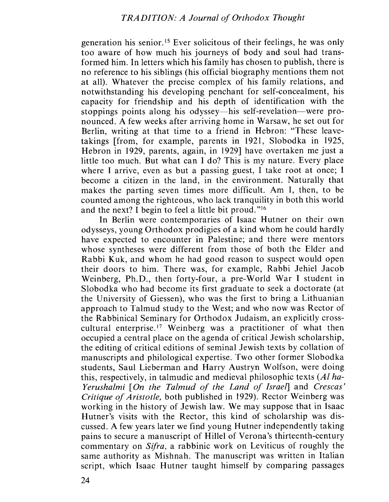generation his senior. 15 Ever solicitous of their feelings, he was only too aware of how much his journeys of hody and soul had transformed him. In letters which his family has chosen to publish, there is no reference to his siblings (his official biography mentions them not at all). Whatever the precise complex of his family relations, and notwithstanding his developing penchant for self-concealment, his capacity for friendship and his depth of identification with the stoppings points along his odyssey—his self-revelation—were pronounced. A few weeks after arriving home in Warsaw, he set out for Berlin, writing at that time to a friend in Hebron: "These leavetakings (from, for example, parents in 1921, Siobodka in 1925, Hebron in 1929, parents, again, in 1929) have overtaken me just a little too much. But what can I do? This is my nature. Every place where I arrive, even as but a passing guest, I take root at once; I becomc a citizen in the land, in the environment. Naturally that makes the parting seven times more difficult. Am I, then, to be counted among the righteous, who lack tranquility in both this world and the next? I begin to feel a little bit proud. "16

In Berlin were contemporaries of Isaac Hutner on their own odysseys, young Orthodox prodigies of a kind whom he could hardly have expected to encounter in Palestine; and there were mentors whose syntheses were different from those of both the Elder and Rabbi Kuk, and whom he had good reason to suspect would open their doors to him. There was, for example, Rabbi Jehiel Jacob Weinberg, Ph.D., then forty-four, a pre-World War I student in Siobodka who had become its first graduate to seek a doctorate (at the University of Giessen), who was the first to bring a Lithuanian approach to Talmud study to the West; and who now was Rector of the Rabbinical Seminary for Orthodox Judaism, an explicitly crosscultural enterprise.<sup>17</sup> Weinberg was a practitioner of what then occupied a central place on the agenda of critical Jewish scholarship, the editing of critical editions of seminal Jewish texts by collation of manuscripts and philological expertise. Two other former Slobodka students, Saul Lieberman and Harry Austryn Wolfson, were doing this, respectively, in talmudic and medieval philosophic texts  $(Al)$  ha-Yerushalmi [On the Talmud of the Land of Israel] and Crescas' Critique of Aristotle, both published in 1929). Rector Weinberg was working in the history of Jewish law. We may suppose that in Isaac Hutner's visits with the Rector, this kind of scholarship was discussed. A few years later we find young Hutner independently taking pains to secure a manuscript of Hillel of Verona's thirteenth-century commentary on Sifra, a rabbinic work on Leviticus of roughly the same authority as Mishnah. The manuscript was written in Italian script, which Isaac Hutner taught himself by comparing passages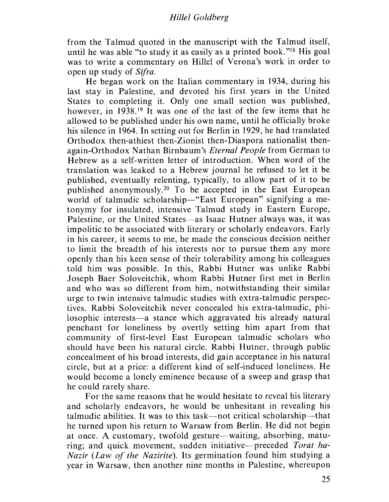### Hilel Goldherg

from the Talmud quoted in the manuscript with the Talmud itself, until he was able "to study it as easily as a printed book. "18 His goal was to write a commentary on Hillel of Verona's work in order to open up study of *Sifra*.

He began work on the Italian commentary in 1934, during his last stay in Palestine, and devoted his first years in the United States to completing it. Only one small section was published, however, in 1938<sup>19</sup> It was one of the last of the few items that he allowed to be published under his own name, until hc officially broke his silence in 1964. In setting out for Berlin in 1929, he had translated Orthodox then-athiest then-Zionist then-Diaspora nationalist thenagain-Orthodox Nathan Birnbaum's Eternal People from German to Hebrew as a self-written letter of introduction. When word of the translation was leaked to a Hebrew journal he refused to let it be published, eventually relenting, typically, to allow part of it to be publishcd anonymously.2o To be accepted in the East European world of talmudic scholarship-"East European" signifying a metonymy for insulated, intensive Talmud study in Eastern Europe, Palestine, or the United States-as Isaac Hutner always was, it was impolitic to be associated with literary or scholarly endeavors. Early in his career, it seems to me, he made the conscious decision neither to limit the breadth of his interests nor to pursue them any more openly than his keen sense of their tolerability among his colleagues told him was possible. In this, Rabbi Hutner was unlike Rabbi Joseph Baer Soloveitchik, whom Rabbi Hutner first met in Berlin and who was so different from him, notwithstanding their similar urge to twin intensive talmudic studies with extra-talmudic perspectives. Rabbi Soloveitchik never concealed his extra-talmudic, philosophic interests—a stance which aggravated his already natural penchant for loneliness by overtly setting him apart from that community of first-level East European talmudic scholars who should have been his natural circle. Rabbi Hutner, through public concealment of his broad interests, did gain acceptance in his natural circle, but at a price: a different kind of self-induced loneliness. He would become a lonely eminence because of a sweep and grasp that he could rarely share.

For the same reasons that he would hesitate to reveal his literary and scholarly endeavors, he would be unhesitant in revealing his talmudic abilities. It was to this task-not critical scholarship-that he turned upon his return to Warsaw from Berlin. He did not begin at once. A customary, twofold gesture—waiting, absorbing, maturing; and quick movement, sudden initiative—preceded Torat ha-Nazir (Law of the Nazirite). Its germination found him studying a year in Warsaw, then another nine months in Palestine, whereupon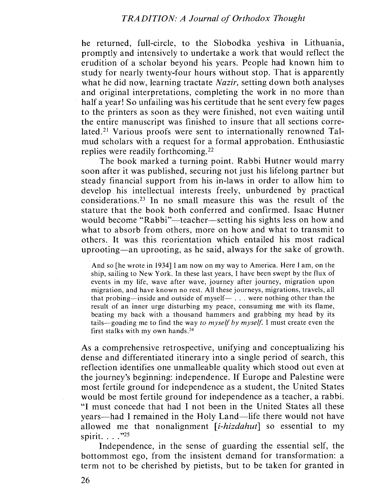he returned, full-circle, to the Siobodka yeshiva in Lithuania, promptly and intensively to undertake a work that would reflect the erudition of a scholar beyond his years. People had known him to study for nearly twenty-four hours without stop. That is apparently what he did now, learning tractate *Nazir*, setting down both analyses and original interpretations, completing the work in no more than half a year! So unfailing was his certitude that he sent every few pages to the printers as soon as they were finished, not even waiting until the entire manuscript was finished to insure that all sections correlated.<sup>21</sup> Various proofs were sent to internationally renowned Talmud scholars with a request for a formal approbation. Enthusiastic replies were readily forthcoming.22

The book marked a turning point. Rabbi Hutner would marry soon after it was published, securing not just his lifelong partner but steady financial support from his in-laws in order to allow him to develop his intellectual interests freely, unburdened by practical considerations.<sup>23</sup> In no small measure this was the result of the stature that the book both conferred and confirmed. Isaac Hutner would become "Rabbi"—teacher—setting his sights less on how and what to absorb from others, more on how and what to transmit to others. It was this reorientation which entailed his most radical uprooting-an uprooting, as he said, always for the sake of growth.

And so [he wrote in 1934] I am now on my way to America. Here I am, on the ship, sailing to New York. In these last years, I have been swept by the flux of events in my life, wave after wave, journey after journey, migration upon migration, and have known no rest. All these journeys, migrations, travels, all that probing—inside and outside of myself—  $\dots$  were nothing other than the result of an inner urge disturbing my peace, consuming me with its flame, beating my back with a thousand hammers and grabbing my head by its tails-goading me to find the way to myself by myself. I must create even the first stalks with my own hands.24

As a comprehensive retrospective, unifying and conceptualizing his dense and differentiated itinerary into a single period of search, this reflection identifies one unmalleable quality which stood out even at the journey's beginning: independence. If Europe and Palestine were most fertile ground for independence as a student, the United States would be most fertile ground for independence as a teacher, a rabbi. "I must concede that had I not been in the United States all these years—had I remained in the Holy Land—life there would not have allowed me that nonalignment  $[i-hizdahut]$  so essential to my spirit. . . . "25

Independence, in the sense of guarding the essential self, the hottommost ego, from the insistent demand for transformation: a term not to be cherished hy pietists, but to be taken for granted in

26